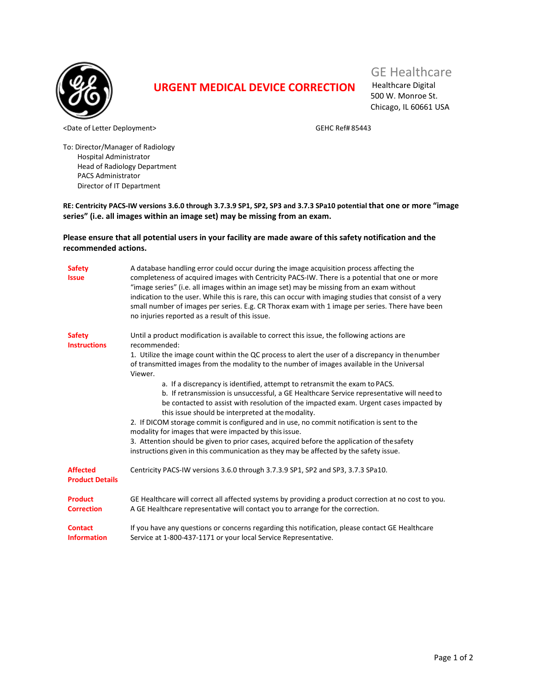

## **URGENT MEDICAL DEVICE CORRECTION**

## GE Healthcare

Healthcare Digital 500 W. Monroe St. Chicago, IL 60661 USA

<Date of Letter Deployment> GEHC Ref# 85443

To: Director/Manager of Radiology Hospital Administrator Head of Radiology Department PACS Administrator Director of IT Department

**RE: Centricity PACS-IW versions 3.6.0 through 3.7.3.9 SP1, SP2, SP3 and 3.7.3 SPa10 potential that one or more "image series" (i.e. all images within an image set) may be missing from an exam.**

## **Please ensure that all potential users in your facility are made aware of this safety notification and the recommended actions.**

| <b>Safety</b><br><b>Issue</b>             | A database handling error could occur during the image acquisition process affecting the<br>completeness of acquired images with Centricity PACS-IW. There is a potential that one or more<br>"image series" (i.e. all images within an image set) may be missing from an exam without<br>indication to the user. While this is rare, this can occur with imaging studies that consist of a very<br>small number of images per series. E.g. CR Thorax exam with 1 image per series. There have been<br>no injuries reported as a result of this issue. |
|-------------------------------------------|--------------------------------------------------------------------------------------------------------------------------------------------------------------------------------------------------------------------------------------------------------------------------------------------------------------------------------------------------------------------------------------------------------------------------------------------------------------------------------------------------------------------------------------------------------|
| <b>Safety</b><br><b>Instructions</b>      | Until a product modification is available to correct this issue, the following actions are<br>recommended:                                                                                                                                                                                                                                                                                                                                                                                                                                             |
|                                           | 1. Utilize the image count within the QC process to alert the user of a discrepancy in the number<br>of transmitted images from the modality to the number of images available in the Universal<br>Viewer.                                                                                                                                                                                                                                                                                                                                             |
|                                           | a. If a discrepancy is identified, attempt to retransmit the exam to PACS.<br>b. If retransmission is unsuccessful, a GE Healthcare Service representative will need to<br>be contacted to assist with resolution of the impacted exam. Urgent cases impacted by<br>this issue should be interpreted at the modality.                                                                                                                                                                                                                                  |
|                                           | 2. If DICOM storage commit is configured and in use, no commit notification is sent to the<br>modality for images that were impacted by this issue.                                                                                                                                                                                                                                                                                                                                                                                                    |
|                                           | 3. Attention should be given to prior cases, acquired before the application of thesafety<br>instructions given in this communication as they may be affected by the safety issue.                                                                                                                                                                                                                                                                                                                                                                     |
| <b>Affected</b><br><b>Product Details</b> | Centricity PACS-IW versions 3.6.0 through 3.7.3.9 SP1, SP2 and SP3, 3.7.3 SPa10.                                                                                                                                                                                                                                                                                                                                                                                                                                                                       |
| <b>Product</b><br><b>Correction</b>       | GE Healthcare will correct all affected systems by providing a product correction at no cost to you.<br>A GE Healthcare representative will contact you to arrange for the correction.                                                                                                                                                                                                                                                                                                                                                                 |
| <b>Contact</b><br><b>Information</b>      | If you have any questions or concerns regarding this notification, please contact GE Healthcare<br>Service at 1-800-437-1171 or your local Service Representative.                                                                                                                                                                                                                                                                                                                                                                                     |